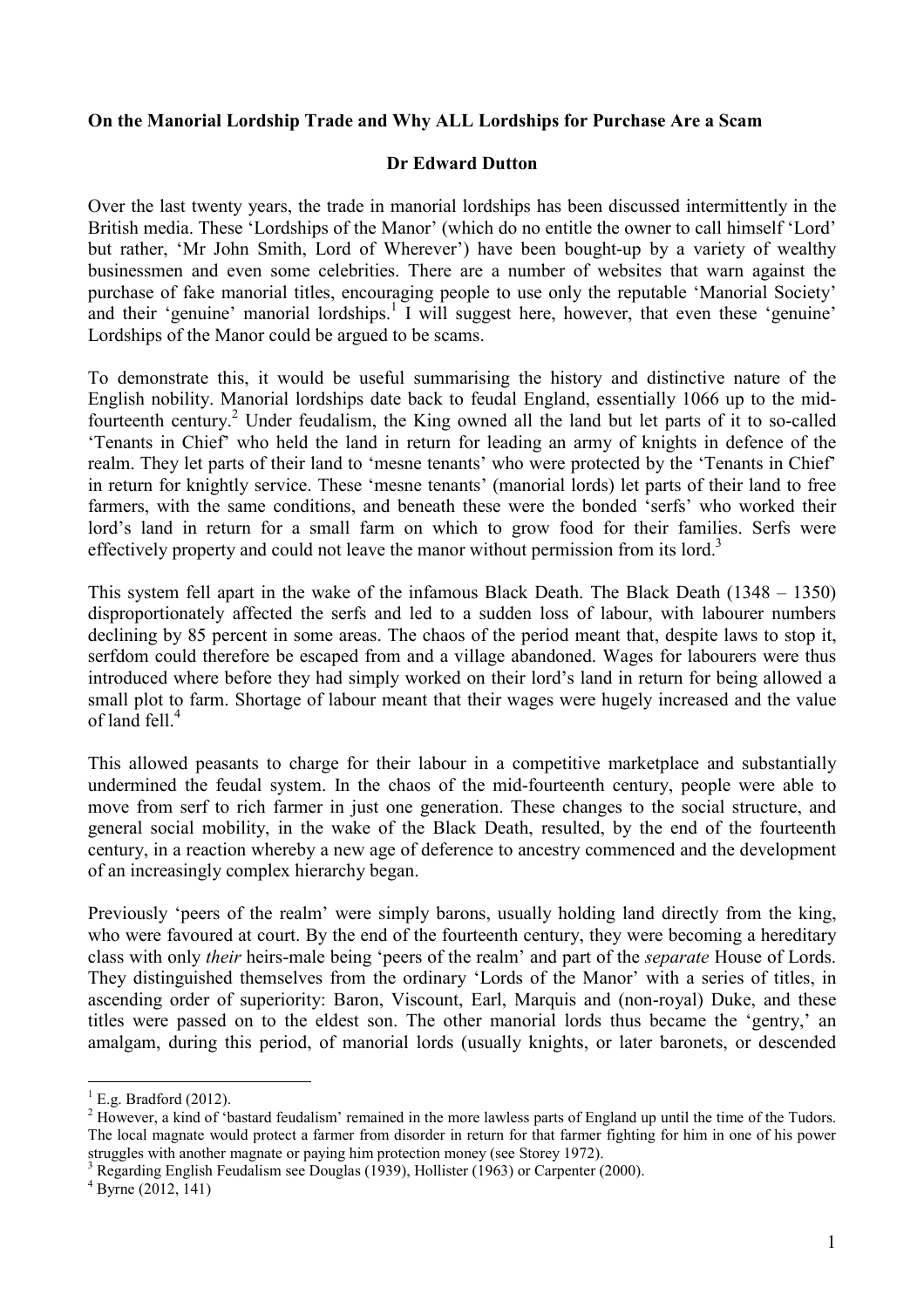## On the Manorial Lordship Trade and Why ALL Lordships for Purchase Are a Scam

## Dr Edward Dutton

Over the last twenty years, the trade in manorial lordships has been discussed intermittently in the British media. These 'Lordships of the Manor' (which do no entitle the owner to call himself 'Lord' but rather, 'Mr John Smith, Lord of Wherever') have been bought-up by a variety of wealthy businessmen and even some celebrities. There are a number of websites that warn against the purchase of fake manorial titles, encouraging people to use only the reputable 'Manorial Society' and their 'genuine' manorial lordships.<sup>1</sup> I will suggest here, however, that even these 'genuine' Lordships of the Manor could be argued to be scams.

To demonstrate this, it would be useful summarising the history and distinctive nature of the English nobility. Manorial lordships date back to feudal England, essentially 1066 up to the midfourteenth century.<sup>2</sup> Under feudalism, the King owned all the land but let parts of it to so-called 'Tenants in Chief' who held the land in return for leading an army of knights in defence of the realm. They let parts of their land to 'mesne tenants' who were protected by the 'Tenants in Chief' in return for knightly service. These 'mesne tenants' (manorial lords) let parts of their land to free farmers, with the same conditions, and beneath these were the bonded 'serfs' who worked their lord's land in return for a small farm on which to grow food for their families. Serfs were effectively property and could not leave the manor without permission from its lord.<sup>3</sup>

This system fell apart in the wake of the infamous Black Death. The Black Death (1348 – 1350) disproportionately affected the serfs and led to a sudden loss of labour, with labourer numbers declining by 85 percent in some areas. The chaos of the period meant that, despite laws to stop it, serfdom could therefore be escaped from and a village abandoned. Wages for labourers were thus introduced where before they had simply worked on their lord's land in return for being allowed a small plot to farm. Shortage of labour meant that their wages were hugely increased and the value of land fell.<sup>4</sup>

This allowed peasants to charge for their labour in a competitive marketplace and substantially undermined the feudal system. In the chaos of the mid-fourteenth century, people were able to move from serf to rich farmer in just one generation. These changes to the social structure, and general social mobility, in the wake of the Black Death, resulted, by the end of the fourteenth century, in a reaction whereby a new age of deference to ancestry commenced and the development of an increasingly complex hierarchy began.

Previously 'peers of the realm' were simply barons, usually holding land directly from the king, who were favoured at court. By the end of the fourteenth century, they were becoming a hereditary class with only their heirs-male being 'peers of the realm' and part of the separate House of Lords. They distinguished themselves from the ordinary 'Lords of the Manor' with a series of titles, in ascending order of superiority: Baron, Viscount, Earl, Marquis and (non-royal) Duke, and these titles were passed on to the eldest son. The other manorial lords thus became the 'gentry,' an amalgam, during this period, of manorial lords (usually knights, or later baronets, or descended

 $\frac{1}{1}$  E.g. Bradford (2012).

 $2$  However, a kind of 'bastard feudalism' remained in the more lawless parts of England up until the time of the Tudors. The local magnate would protect a farmer from disorder in return for that farmer fighting for him in one of his power struggles with another magnate or paying him protection money (see Storey 1972).

 $3$  Regarding English Feudalism see Douglas (1939), Hollister (1963) or Carpenter (2000).

 $4$  Byrne (2012, 141)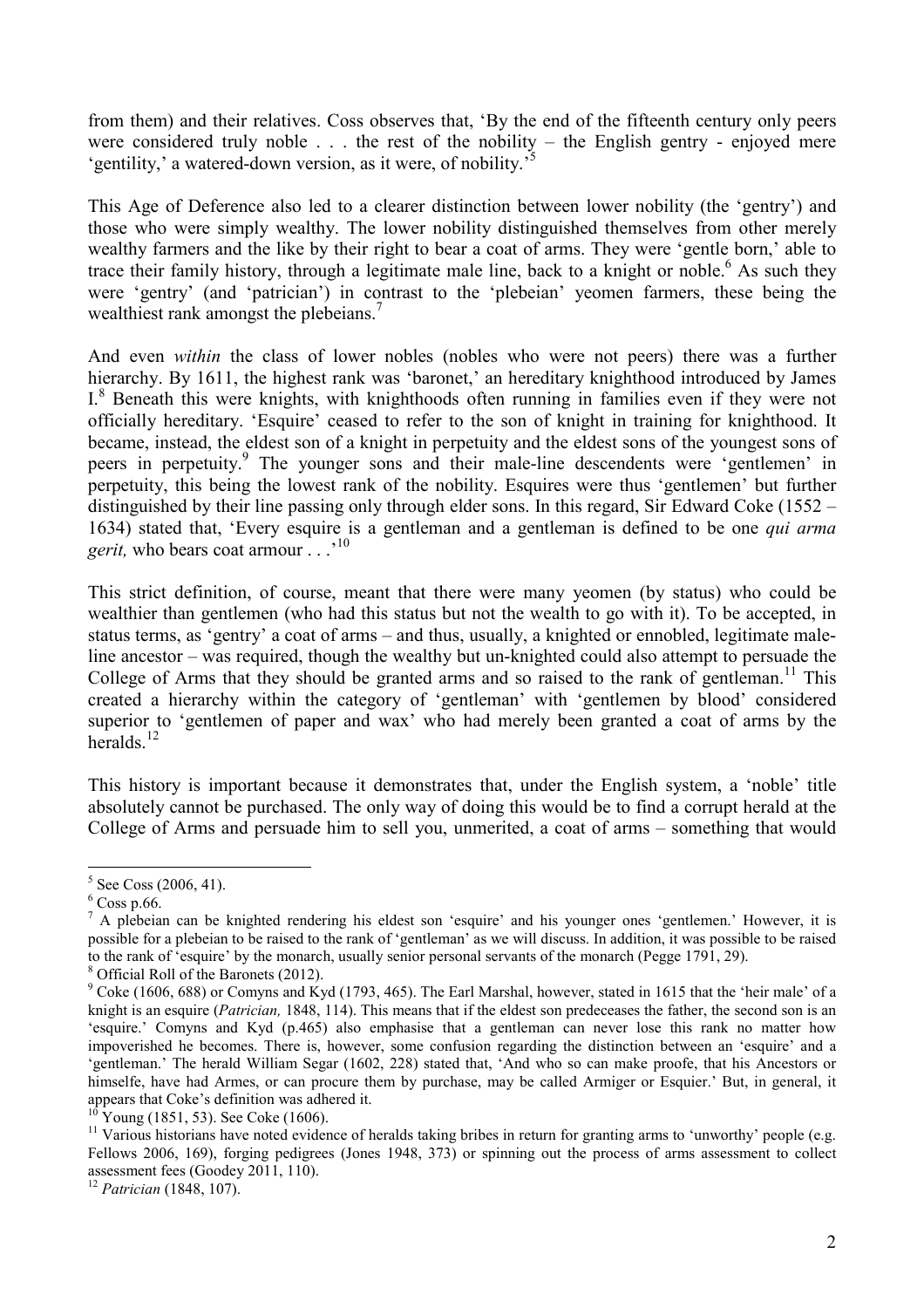from them) and their relatives. Coss observes that, 'By the end of the fifteenth century only peers were considered truly noble  $\ldots$  the rest of the nobility – the English gentry - enjoyed mere 'gentility,' a watered-down version, as it were, of nobility.'

This Age of Deference also led to a clearer distinction between lower nobility (the 'gentry') and those who were simply wealthy. The lower nobility distinguished themselves from other merely wealthy farmers and the like by their right to bear a coat of arms. They were 'gentle born,' able to trace their family history, through a legitimate male line, back to a knight or noble.<sup>6</sup> As such they were 'gentry' (and 'patrician') in contrast to the 'plebeian' yeomen farmers, these being the wealthiest rank amongst the plebeians.<sup>7</sup>

And even within the class of lower nobles (nobles who were not peers) there was a further hierarchy. By 1611, the highest rank was 'baronet,' an hereditary knighthood introduced by James I.<sup>8</sup> Beneath this were knights, with knighthoods often running in families even if they were not officially hereditary. 'Esquire' ceased to refer to the son of knight in training for knighthood. It became, instead, the eldest son of a knight in perpetuity and the eldest sons of the youngest sons of peers in perpetuity.<sup>9</sup> The younger sons and their male-line descendents were 'gentlemen' in perpetuity, this being the lowest rank of the nobility. Esquires were thus 'gentlemen' but further distinguished by their line passing only through elder sons. In this regard, Sir Edward Coke (1552 – 1634) stated that, 'Every esquire is a gentleman and a gentleman is defined to be one qui arma *gerit*, who bears coat armour  $\ldots$ <sup>10</sup>

This strict definition, of course, meant that there were many yeomen (by status) who could be wealthier than gentlemen (who had this status but not the wealth to go with it). To be accepted, in status terms, as 'gentry' a coat of arms – and thus, usually, a knighted or ennobled, legitimate maleline ancestor – was required, though the wealthy but un-knighted could also attempt to persuade the College of Arms that they should be granted arms and so raised to the rank of gentleman.<sup>11</sup> This created a hierarchy within the category of 'gentleman' with 'gentlemen by blood' considered superior to 'gentlemen of paper and wax' who had merely been granted a coat of arms by the heralds. $^{12}$ 

This history is important because it demonstrates that, under the English system, a 'noble' title absolutely cannot be purchased. The only way of doing this would be to find a corrupt herald at the College of Arms and persuade him to sell you, unmerited, a coat of arms – something that would

 $5$  See Coss (2006, 41).

 $6$  Coss p.66.

<sup>&</sup>lt;sup>7</sup> A plebeian can be knighted rendering his eldest son 'esquire' and his younger ones 'gentlemen.' However, it is possible for a plebeian to be raised to the rank of 'gentleman' as we will discuss. In addition, it was possible to be raised to the rank of 'esquire' by the monarch, usually senior personal servants of the monarch (Pegge 1791, 29).

<sup>8</sup> Official Roll of the Baronets (2012).

 $9^9$  Coke (1606, 688) or Comyns and Kyd (1793, 465). The Earl Marshal, however, stated in 1615 that the 'heir male' of a knight is an esquire (Patrician, 1848, 114). This means that if the eldest son predeceases the father, the second son is an 'esquire.' Comyns and Kyd (p.465) also emphasise that a gentleman can never lose this rank no matter how impoverished he becomes. There is, however, some confusion regarding the distinction between an 'esquire' and a 'gentleman.' The herald William Segar (1602, 228) stated that, 'And who so can make proofe, that his Ancestors or himselfe, have had Armes, or can procure them by purchase, may be called Armiger or Esquier.' But, in general, it appears that Coke's definition was adhered it.

 $10$  Young (1851, 53). See Coke (1606).

 $11$  Various historians have noted evidence of heralds taking bribes in return for granting arms to 'unworthy' people (e.g. Fellows 2006, 169), forging pedigrees (Jones 1948, 373) or spinning out the process of arms assessment to collect assessment fees (Goodey 2011, 110).

 $12$  Patrician (1848, 107).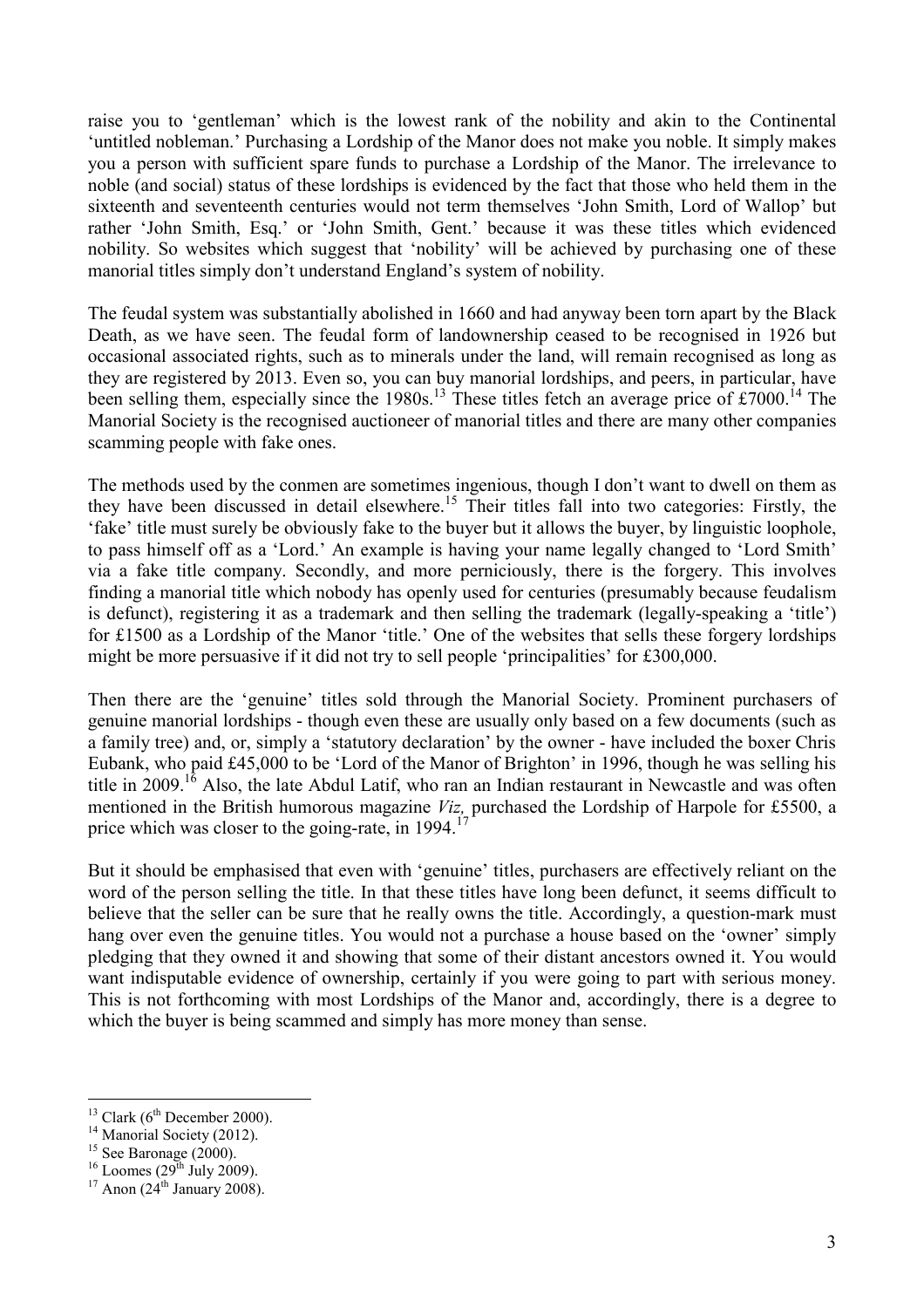raise you to 'gentleman' which is the lowest rank of the nobility and akin to the Continental 'untitled nobleman.' Purchasing a Lordship of the Manor does not make you noble. It simply makes you a person with sufficient spare funds to purchase a Lordship of the Manor. The irrelevance to noble (and social) status of these lordships is evidenced by the fact that those who held them in the sixteenth and seventeenth centuries would not term themselves 'John Smith, Lord of Wallop' but rather 'John Smith, Esq.' or 'John Smith, Gent.' because it was these titles which evidenced nobility. So websites which suggest that 'nobility' will be achieved by purchasing one of these manorial titles simply don't understand England's system of nobility.

The feudal system was substantially abolished in 1660 and had anyway been torn apart by the Black Death, as we have seen. The feudal form of landownership ceased to be recognised in 1926 but occasional associated rights, such as to minerals under the land, will remain recognised as long as they are registered by 2013. Even so, you can buy manorial lordships, and peers, in particular, have been selling them, especially since the  $1980s$ .<sup>13</sup> These titles fetch an average price of £7000.<sup>14</sup> The Manorial Society is the recognised auctioneer of manorial titles and there are many other companies scamming people with fake ones.

The methods used by the conmen are sometimes ingenious, though I don't want to dwell on them as they have been discussed in detail elsewhere.<sup>15</sup> Their titles fall into two categories: Firstly, the 'fake' title must surely be obviously fake to the buyer but it allows the buyer, by linguistic loophole, to pass himself off as a 'Lord.' An example is having your name legally changed to 'Lord Smith' via a fake title company. Secondly, and more perniciously, there is the forgery. This involves finding a manorial title which nobody has openly used for centuries (presumably because feudalism is defunct), registering it as a trademark and then selling the trademark (legally-speaking a 'title') for £1500 as a Lordship of the Manor 'title.' One of the websites that sells these forgery lordships might be more persuasive if it did not try to sell people 'principalities' for £300,000.

Then there are the 'genuine' titles sold through the Manorial Society. Prominent purchasers of genuine manorial lordships - though even these are usually only based on a few documents (such as a family tree) and, or, simply a 'statutory declaration' by the owner - have included the boxer Chris Eubank, who paid £45,000 to be 'Lord of the Manor of Brighton' in 1996, though he was selling his title in 2009.<sup>16</sup> Also, the late Abdul Latif, who ran an Indian restaurant in Newcastle and was often mentioned in the British humorous magazine Viz, purchased the Lordship of Harpole for £5500, a price which was closer to the going-rate, in  $1994$ <sup>17</sup>

But it should be emphasised that even with 'genuine' titles, purchasers are effectively reliant on the word of the person selling the title. In that these titles have long been defunct, it seems difficult to believe that the seller can be sure that he really owns the title. Accordingly, a question-mark must hang over even the genuine titles. You would not a purchase a house based on the 'owner' simply pledging that they owned it and showing that some of their distant ancestors owned it. You would want indisputable evidence of ownership, certainly if you were going to part with serious money. This is not forthcoming with most Lordships of the Manor and, accordingly, there is a degree to which the buyer is being scammed and simply has more money than sense.

 $\overline{a}$ 

 $13$  Clark (6<sup>th</sup> December 2000).

<sup>&</sup>lt;sup>14</sup> Manorial Society (2012).

 $15$  See Baronage (2000).

 $16$  Loomes (29<sup>th</sup> July 2009).

 $17$  Anon (24<sup>th</sup> January 2008).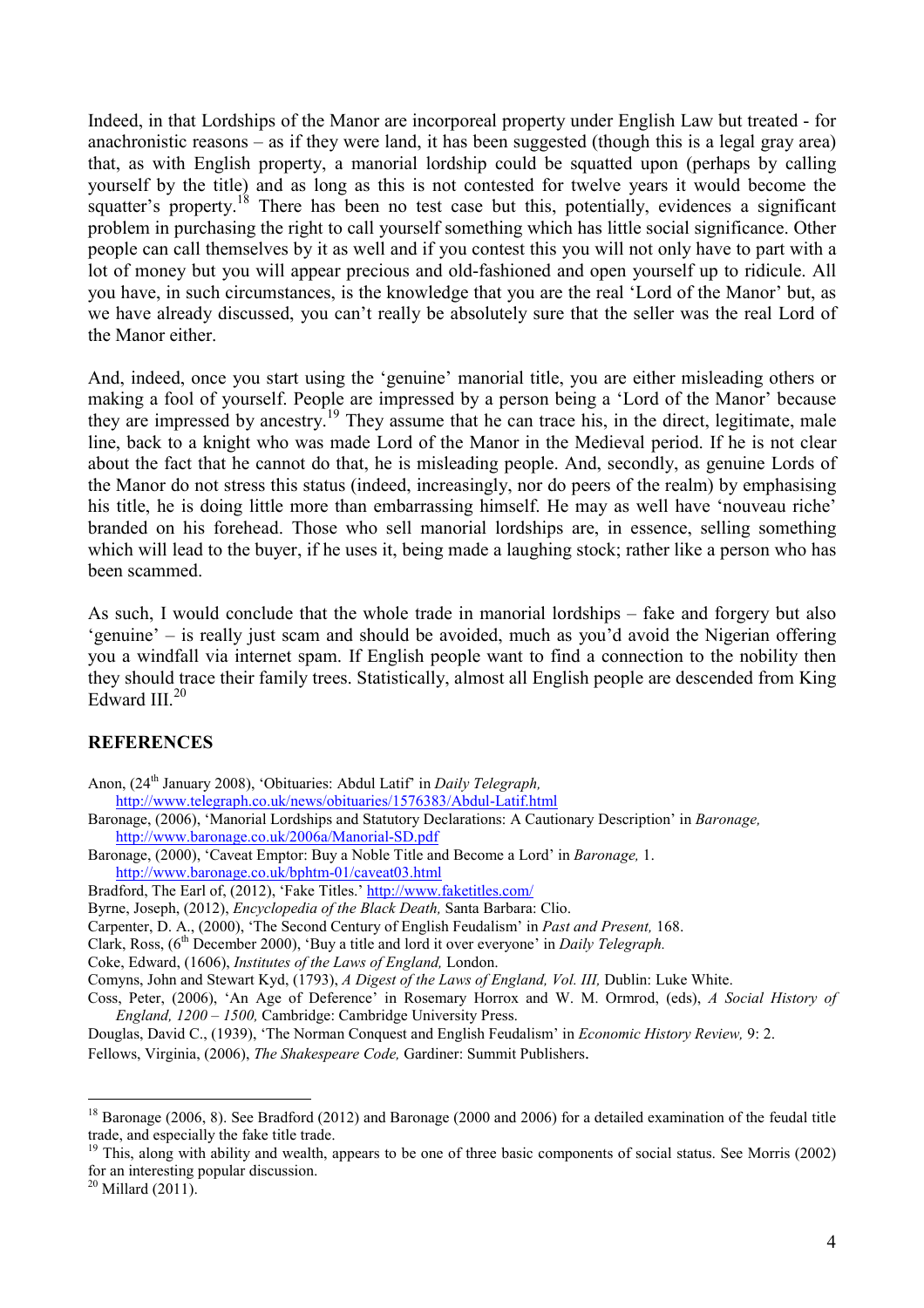Indeed, in that Lordships of the Manor are incorporeal property under English Law but treated - for anachronistic reasons – as if they were land, it has been suggested (though this is a legal gray area) that, as with English property, a manorial lordship could be squatted upon (perhaps by calling yourself by the title) and as long as this is not contested for twelve years it would become the squatter's property.<sup>18</sup> There has been no test case but this, potentially, evidences a significant problem in purchasing the right to call yourself something which has little social significance. Other people can call themselves by it as well and if you contest this you will not only have to part with a lot of money but you will appear precious and old-fashioned and open yourself up to ridicule. All you have, in such circumstances, is the knowledge that you are the real 'Lord of the Manor' but, as we have already discussed, you can't really be absolutely sure that the seller was the real Lord of the Manor either.

And, indeed, once you start using the 'genuine' manorial title, you are either misleading others or making a fool of yourself. People are impressed by a person being a 'Lord of the Manor' because they are impressed by ancestry.<sup>19</sup> They assume that he can trace his, in the direct, legitimate, male line, back to a knight who was made Lord of the Manor in the Medieval period. If he is not clear about the fact that he cannot do that, he is misleading people. And, secondly, as genuine Lords of the Manor do not stress this status (indeed, increasingly, nor do peers of the realm) by emphasising his title, he is doing little more than embarrassing himself. He may as well have 'nouveau riche' branded on his forehead. Those who sell manorial lordships are, in essence, selling something which will lead to the buyer, if he uses it, being made a laughing stock; rather like a person who has been scammed.

As such, I would conclude that the whole trade in manorial lordships – fake and forgery but also 'genuine' – is really just scam and should be avoided, much as you'd avoid the Nigerian offering you a windfall via internet spam. If English people want to find a connection to the nobility then they should trace their family trees. Statistically, almost all English people are descended from King Edward III. $20$ 

## **REFERENCES**

Anon, (24th January 2008), 'Obituaries: Abdul Latif' in Daily Telegraph,

http://www.telegraph.co.uk/news/obituaries/1576383/Abdul-Latif.html

- Baronage, (2006), 'Manorial Lordships and Statutory Declarations: A Cautionary Description' in Baronage, http://www.baronage.co.uk/2006a/Manorial-SD.pdf
- Baronage, (2000), 'Caveat Emptor: Buy a Noble Title and Become a Lord' in Baronage, 1. http://www.baronage.co.uk/bphtm-01/caveat03.html

Bradford, The Earl of, (2012), 'Fake Titles.' http://www.faketitles.com/

Byrne, Joseph, (2012), Encyclopedia of the Black Death, Santa Barbara: Clio.

Carpenter, D. A., (2000), 'The Second Century of English Feudalism' in Past and Present, 168.

Clark, Ross,  $(6<sup>th</sup>$  December 2000), 'Buy a title and lord it over everyone' in *Daily Telegraph*.

Coke, Edward, (1606), Institutes of the Laws of England, London.

Comyns, John and Stewart Kyd, (1793), A Digest of the Laws of England, Vol. III, Dublin: Luke White.

Coss, Peter, (2006), 'An Age of Deference' in Rosemary Horrox and W. M. Ormrod, (eds), A Social History of England, 1200 – 1500, Cambridge: Cambridge University Press.

Douglas, David C., (1939), 'The Norman Conquest and English Feudalism' in *Economic History Review*, 9: 2. Fellows, Virginia, (2006), The Shakespeare Code, Gardiner: Summit Publishers.

<sup>19</sup> This, along with ability and wealth, appears to be one of three basic components of social status. See Morris (2002) for an interesting popular discussion.

 $20$  Millard (2011).

 $\overline{a}$ 

 $18$  Baronage (2006, 8). See Bradford (2012) and Baronage (2000 and 2006) for a detailed examination of the feudal title trade, and especially the fake title trade.